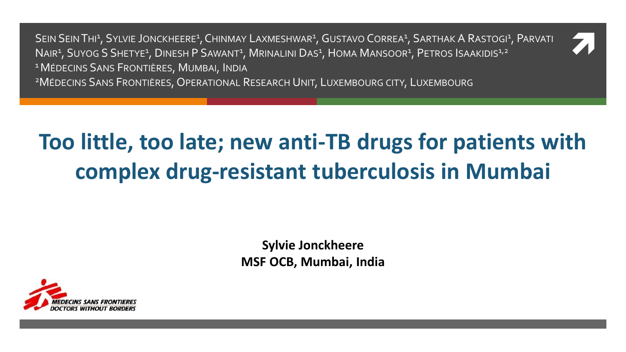SEIN SEIN THI<sup>1</sup>, SYLVIE JONCKHEERE<sup>1</sup>, CHINMAY LAXMESHWAR<sup>1</sup>, GUSTAVO CORREA<sup>1</sup>, SARTHAK A RASTOGI<sup>1</sup>, PARVATI<br>NAIR<sup>1</sup>, SUYOG S SHETYE<sup>1</sup>, DINESH P SAWANT<sup>1</sup>, MRINALINI DAS<sup>1</sup>, HOMA MANSOOR<sup>1</sup>, PETROS ISAAKIDIS<sup>1,2</sup> NAIR<sup>1</sup>, SUYOG S SHETYE<sup>1</sup>, DINESH P SAWANT<sup>1</sup>, MRINALINI DAS<sup>1</sup>, HOMA MANSOOR<sup>1</sup>, PETROS ISAAKIDIS<sup>1,2</sup> <sup>1</sup> MÉDECINS SANS FRONTIÈRES, MUMBAI, INDIA

<sup>2</sup>MÉDECINS SANS FRONTIÈRES, OPERATIONAL RESEARCH UNIT, LUXEMBOURG CITY, LUXEMBOURG

# **Too little, too late; new anti-TB drugs for patients with complex drug-resistant tuberculosis in Mumbai**

**Sylvie Jonckheere MSF OCB, Mumbai, India**

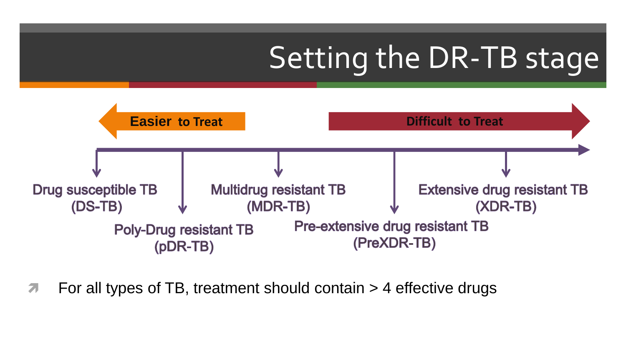# Setting the DR-TB stage



For all types of TB, treatment should contain > 4 effective drugs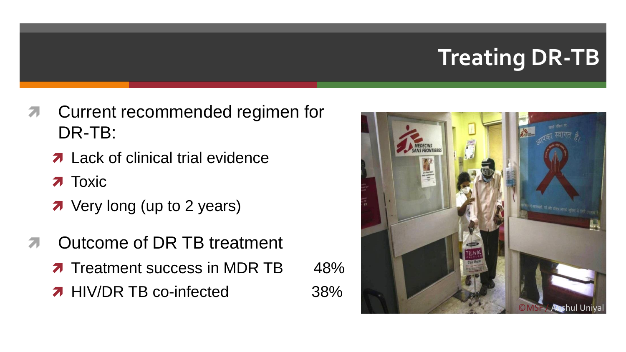# **Treating DR-TB**

- **T** Current recommended regimen for DR-TB:
	- **7** Lack of clinical trial evidence
	- $\lambda$  Toxic
	- **7** Very long (up to 2 years)
- **T** Outcome of DR TB treatment **T** Treatment success in MDR TB 48%
	- **A** HIV/DR TB co-infected 38%

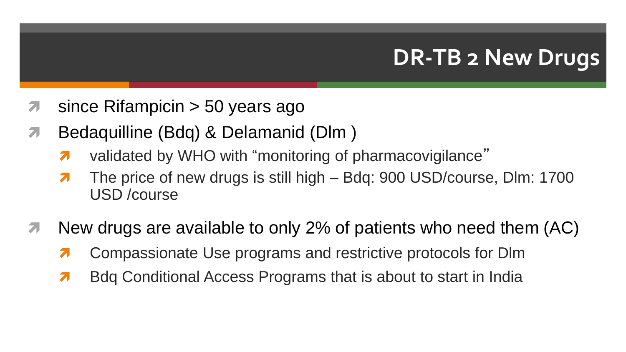### **DR-TB 2 New Drugs**

- **1** since Rifampicin > 50 years ago
- Bedaquilline (Bdq) & Delamanid (Dlm )
	- $\lambda$  validated by WHO with "monitoring of pharmacovigilance"
	- 7 The price of new drugs is still high Bdq: 900 USD/course, Dlm: 1700 USD /course
- $\blacktriangledown$  New drugs are available to only 2% of patients who need them (AC)
	- **7** Compassionate Use programs and restrictive protocols for DIm
	- **Brandital Access Programs that is about to start in India**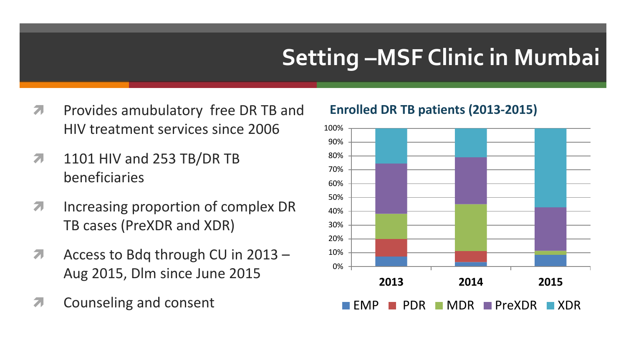# **Setting –MSF Clinic in Mumbai**

- **Provides amubulatory free DR TB and** HIV treatment services since 2006
- **7** 1101 HIV and 253 TB/DR TB beneficiaries
- **Increasing proportion of complex DR** TB cases (PreXDR and XDR)
- Access to Bdq through CU in 2013 -Aug 2015, Dlm since June 2015
- **7** Counseling and consent

#### **Enrolled DR TB patients (2013-2015)**

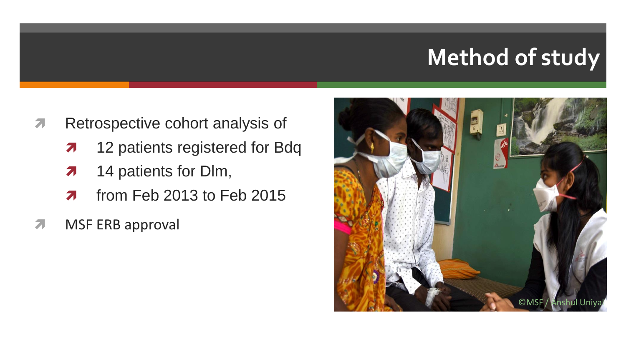## **Method of study**

- **A** Retrospective cohort analysis of
	- **12 patients registered for Bdq**
	- **14 patients for Dlm,**
	- $\pi$  from Feb 2013 to Feb 2015
- **MSF ERB approval**

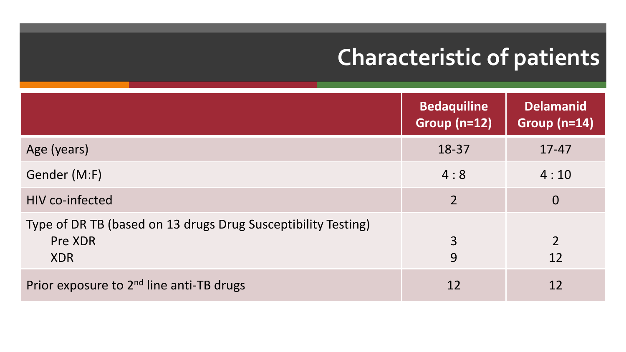# **Characteristic of patients**

|                                                                                        | <b>Bedaquiline</b><br>Group $(n=12)$ | <b>Delamanid</b><br>Group $(n=14)$ |
|----------------------------------------------------------------------------------------|--------------------------------------|------------------------------------|
| Age (years)                                                                            | 18-37                                | $17 - 47$                          |
| Gender (M:F)                                                                           | 4:8                                  | 4:10                               |
| <b>HIV co-infected</b>                                                                 | $\overline{2}$                       | $\overline{0}$                     |
| Type of DR TB (based on 13 drugs Drug Susceptibility Testing)<br>Pre XDR<br><b>XDR</b> | 3<br>9                               | $\overline{2}$<br>12               |
| Prior exposure to 2 <sup>nd</sup> line anti-TB drugs                                   | 12                                   | 12                                 |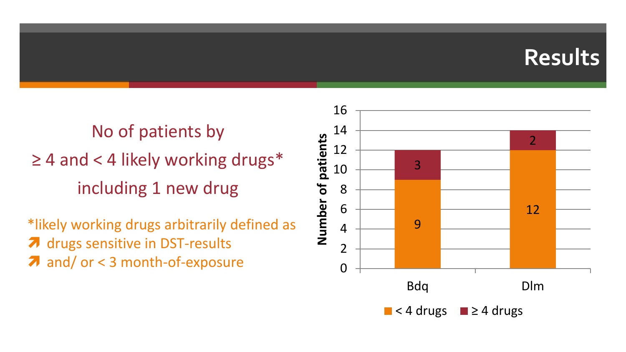#### **Results**

No of patients by  $\geq$  4 and < 4 likely working drugs\* including 1 new drug

\*likely working drugs arbitrarily defined as  $\lambda$  drugs sensitive in DST-results

**a** and/ or < 3 month-of-exposure

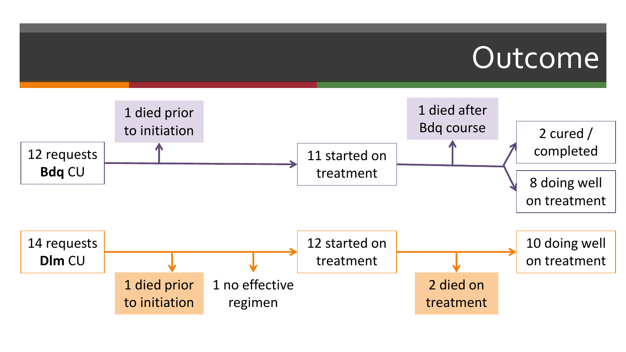# Outcome

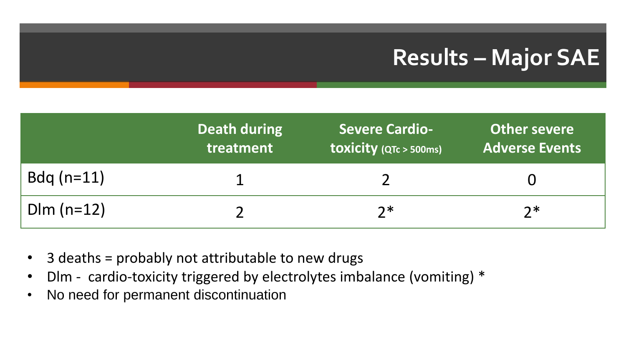### **Results – Major SAE**

|              | Death during<br>treatment | <b>Severe Cardio-</b><br>toxicity (QTc > 500ms) | Other severe<br><b>Adverse Events</b> |
|--------------|---------------------------|-------------------------------------------------|---------------------------------------|
| $Bdq$ (n=11) |                           |                                                 |                                       |
| $Dim (n=12)$ |                           | つ*                                              | つ*                                    |

- 3 deaths = probably not attributable to new drugs
- Dlm cardio-toxicity triggered by electrolytes imbalance (vomiting) \*
- No need for permanent discontinuation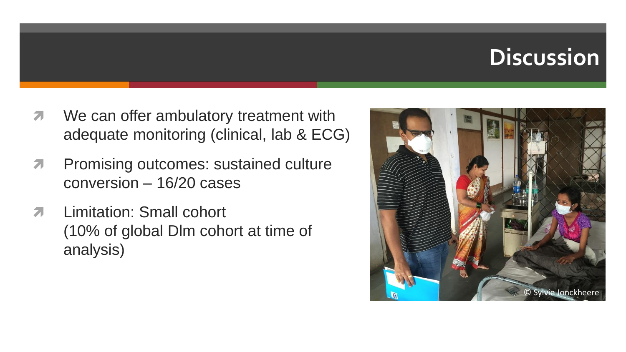#### **Discussion**

- **T** We can offer ambulatory treatment with adequate monitoring (clinical, lab & ECG)
- **A** Promising outcomes: sustained culture conversion – 16/20 cases
- **7** Limitation: Small cohort (10% of global Dlm cohort at time of analysis)

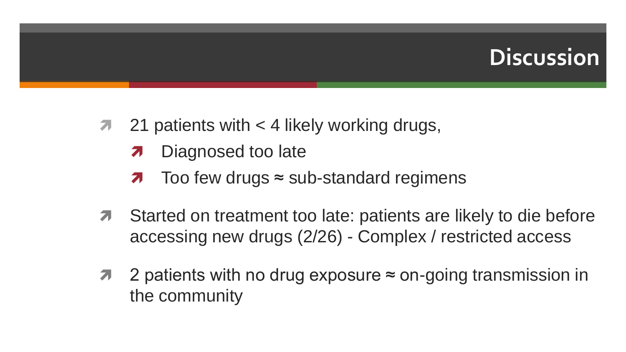#### **Discussion**

- $\pi$  21 patients with  $\lt$  4 likely working drugs,
	- **7** Diagnosed too late
	- $\lambda$  Too few drugs  $\approx$  sub-standard regimens
- **T** Started on treatment too late: patients are likely to die before accessing new drugs (2/26) - Complex / restricted access
- 2 patients with no drug exposure ≈ on-going transmission in the community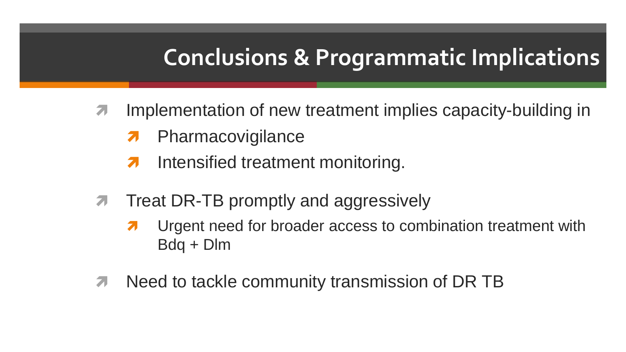#### **Conclusions & Programmatic Implications**

- **7** Implementation of new treatment implies capacity-building in
	- **7** Pharmacovigilance
	- **A** Intensified treatment monitoring.
- **Theat DR-TB promptly and aggressively** 
	- **7** Urgent need for broader access to combination treatment with Bdq + Dlm
- **T** Need to tackle community transmission of DR TB